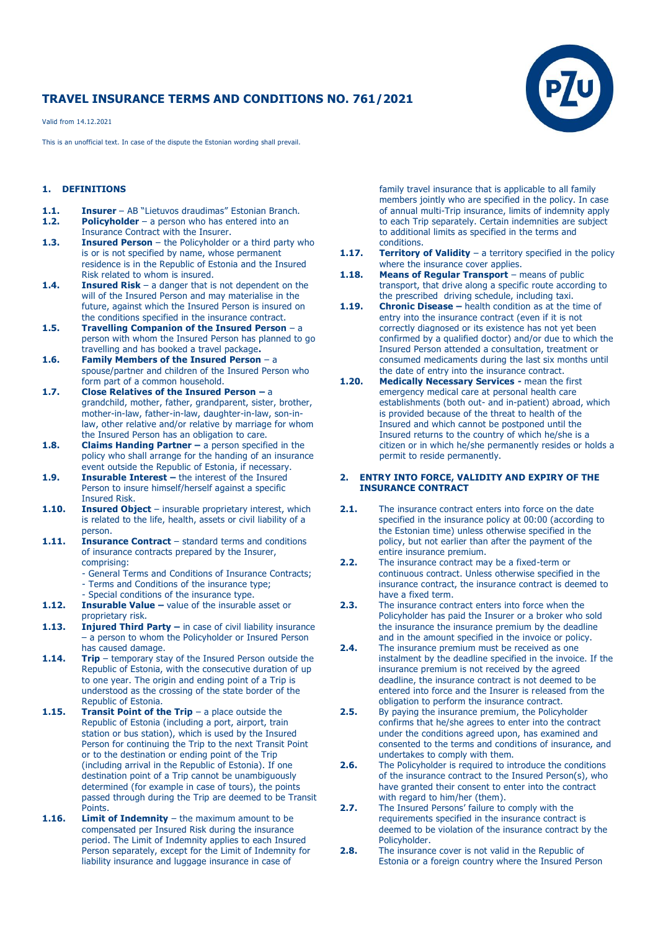# **TRAVEL INSURANCE TERMS AND CONDITIONS NO. 761/2021**

Valid from 14.12.2021

This is an unofficial text. In case of the dispute the Estonian wording shall prevail.

### **1. DEFINITIONS**

- **1.1. Insurer**  AB "Lietuvos draudimas" Estonian Branch.
- **1.2. Policyholder**  a person who has entered into an Insurance Contract with the Insurer.
- **1.3. Insured Person** the Policyholder or a third party who is or is not specified by name, whose permanent residence is in the Republic of Estonia and the Insured Risk related to whom is insured.
- **1.4. Insured Risk**  a danger that is not dependent on the will of the Insured Person and may materialise in the future, against which the Insured Person is insured on the conditions specified in the insurance contract.
- **1.5. Travelling Companion of the Insured Person**  a person with whom the Insured Person has planned to go travelling and has booked a travel package**.**
- **1.6. Family Members of the Insured Person**  a spouse/partner and children of the Insured Person who form part of a common household.
- **1.7. Close Relatives of the Insured Person –** a grandchild, mother, father, grandparent, sister, brother, mother-in-law, father-in-law, daughter-in-law, son-inlaw, other relative and/or relative by marriage for whom the Insured Person has an obligation to care.
- **1.8. Claims Handing Partner –** a person specified in the policy who shall arrange for the handing of an insurance event outside the Republic of Estonia, if necessary.
- **1.9. Insurable Interest** the interest of the Insured Person to insure himself/herself against a specific Insured Risk.
- **1.10. Insured Object**  insurable proprietary interest, which is related to the life, health, assets or civil liability of a person.
- **1.11. Insurance Contract**  standard terms and conditions of insurance contracts prepared by the Insurer, comprising:
	- General Terms and Conditions of Insurance Contracts; - Terms and Conditions of the insurance type;
	- Special conditions of the insurance type.
- **1.12. Insurable Value –** value of the insurable asset or proprietary risk.
- 1.13. **Injured Third Party –** in case of civil liability insurance – a person to whom the Policyholder or Insured Person has caused damage.
- **1.14. Trip** temporary stay of the Insured Person outside the Republic of Estonia, with the consecutive duration of up to one year. The origin and ending point of a Trip is understood as the crossing of the state border of the Republic of Estonia.
- **1.15. Transit Point of the Trip** a place outside the Republic of Estonia (including a port, airport, train station or bus station), which is used by the Insured Person for continuing the Trip to the next Transit Point or to the destination or ending point of the Trip (including arrival in the Republic of Estonia). If one destination point of a Trip cannot be unambiguously determined (for example in case of tours), the points passed through during the Trip are deemed to be Transit Points.
- **1.16. Limit of Indemnity** the maximum amount to be compensated per Insured Risk during the insurance period. The Limit of Indemnity applies to each Insured Person separately, except for the Limit of Indemnity for liability insurance and luggage insurance in case of

family travel insurance that is applicable to all family members jointly who are specified in the policy. In case of annual multi-Trip insurance, limits of indemnity apply to each Trip separately. Certain indemnities are subject to additional limits as specified in the terms and conditions.

- **1.17. Territory of Validity** a territory specified in the policy where the insurance cover applies.
- **1.18. Means of Regular Transport** means of public transport, that drive along a specific route according to the prescribed driving schedule, including taxi.
- **1.19. Chronic Disease –** health condition as at the time of entry into the insurance contract (even if it is not correctly diagnosed or its existence has not yet been confirmed by a qualified doctor) and/or due to which the Insured Person attended a consultation, treatment or consumed medicaments during the last six months until the date of entry into the insurance contract.
- **1.20. Medically Necessary Services -** mean the first emergency medical care at personal health care establishments (both out- and in-patient) abroad, which is provided because of the threat to health of the Insured and which cannot be postponed until the Insured returns to the country of which he/she is a citizen or in which he/she permanently resides or holds a permit to reside permanently.

#### **2. ENTRY INTO FORCE, VALIDITY AND EXPIRY OF THE INSURANCE CONTRACT**

- **2.1.** The insurance contract enters into force on the date specified in the insurance policy at 00:00 (according to the Estonian time) unless otherwise specified in the policy, but not earlier than after the payment of the entire insurance premium.
- **2.2.** The insurance contract may be a fixed-term or continuous contract. Unless otherwise specified in the insurance contract, the insurance contract is deemed to have a fixed term.
- **2.3.** The insurance contract enters into force when the Policyholder has paid the Insurer or a broker who sold the insurance the insurance premium by the deadline and in the amount specified in the invoice or policy.
- **2.4.** The insurance premium must be received as one instalment by the deadline specified in the invoice. If the insurance premium is not received by the agreed deadline, the insurance contract is not deemed to be entered into force and the Insurer is released from the obligation to perform the insurance contract.
- **2.5.** By paying the insurance premium, the Policyholder confirms that he/she agrees to enter into the contract under the conditions agreed upon, has examined and consented to the terms and conditions of insurance, and undertakes to comply with them.
- **2.6.** The Policyholder is required to introduce the conditions of the insurance contract to the Insured Person(s), who have granted their consent to enter into the contract with regard to him/her (them).
- **2.7.** The Insured Persons' failure to comply with the requirements specified in the insurance contract is deemed to be violation of the insurance contract by the Policyholder.
- **2.8.** The insurance cover is not valid in the Republic of Estonia or a foreign country where the Insured Person

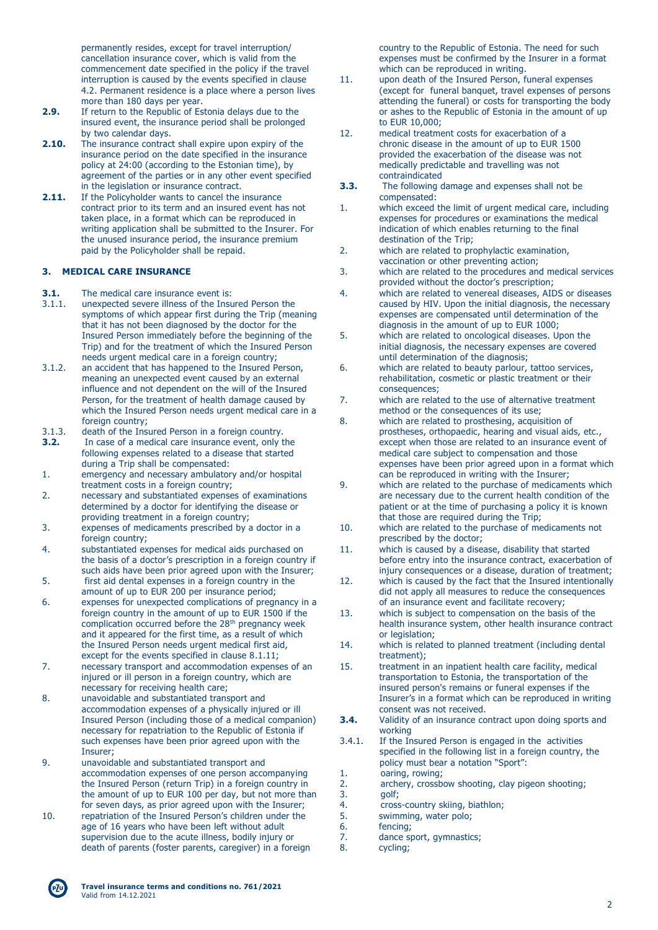permanently resides, except for travel interruption/ cancellation insurance cover, which is valid from the commencement date specified in the policy if the travel interruption is caused by the events specified in clause 4.2. Permanent residence is a place where a person lives more than 180 days per year.

- **2.9.** If return to the Republic of Estonia delays due to the insured event, the insurance period shall be prolonged by two calendar days.
- **2.10.** The insurance contract shall expire upon expiry of the insurance period on the date specified in the insurance policy at 24:00 (according to the Estonian time), by agreement of the parties or in any other event specified in the legislation or insurance contract.
- **2.11.** If the Policyholder wants to cancel the insurance contract prior to its term and an insured event has not taken place, in a format which can be reproduced in writing application shall be submitted to the Insurer. For the unused insurance period, the insurance premium paid by the Policyholder shall be repaid.

### **3. MEDICAL CARE INSURANCE**

- **3.1.** The medical care insurance event is:
- 3.1.1. unexpected severe illness of the Insured Person the symptoms of which appear first during the Trip (meaning that it has not been diagnosed by the doctor for the Insured Person immediately before the beginning of the Trip) and for the treatment of which the Insured Person needs urgent medical care in a foreign country;
- 3.1.2. an accident that has happened to the Insured Person, meaning an unexpected event caused by an external influence and not dependent on the will of the Insured Person, for the treatment of health damage caused by which the Insured Person needs urgent medical care in a foreign country;
- 3.1.3. death of the Insured Person in a foreign country.
- **3.2.** In case of a medical care insurance event, only the following expenses related to a disease that started during a Trip shall be compensated:
- 1. emergency and necessary ambulatory and/or hospital treatment costs in a foreign country;
- 2. necessary and substantiated expenses of examinations determined by a doctor for identifying the disease or providing treatment in a foreign country;
- 3. expenses of medicaments prescribed by a doctor in a foreign country;
- 4. substantiated expenses for medical aids purchased on the basis of a doctor's prescription in a foreign country if such aids have been prior agreed upon with the Insurer;
- 5. first aid dental expenses in a foreign country in the amount of up to EUR 200 per insurance period;
- 6. expenses for unexpected complications of pregnancy in a foreign country in the amount of up to EUR 1500 if the complication occurred before the 28th pregnancy week and it appeared for the first time, as a result of which the Insured Person needs urgent medical first aid, except for the events specified in clause 8.1.11;
- 7. necessary transport and accommodation expenses of an injured or ill person in a foreign country, which are necessary for receiving health care;
- 8. unavoidable and substantiated transport and accommodation expenses of a physically injured or ill Insured Person (including those of a medical companion) necessary for repatriation to the Republic of Estonia if such expenses have been prior agreed upon with the Insurer;
- 9. unavoidable and substantiated transport and accommodation expenses of one person accompanying the Insured Person (return Trip) in a foreign country in the amount of up to EUR 100 per day, but not more than for seven days, as prior agreed upon with the Insurer;
- 10. repatriation of the Insured Person's children under the age of 16 years who have been left without adult supervision due to the acute illness, bodily injury or death of parents (foster parents, caregiver) in a foreign

country to the Republic of Estonia. The need for such expenses must be confirmed by the Insurer in a format which can be reproduced in writing.

- 11. upon death of the Insured Person, funeral expenses (except for funeral banquet, travel expenses of persons attending the funeral) or costs for transporting the body or ashes to the Republic of Estonia in the amount of up to EUR 10,000;
- 12. medical treatment costs for exacerbation of a chronic disease in the amount of up to EUR 1500 provided the exacerbation of the disease was not medically predictable and travelling was not contraindicated
- **3.3.** The following damage and expenses shall not be compensated:
- 1. which exceed the limit of urgent medical care, including expenses for procedures or examinations the medical indication of which enables returning to the final destination of the Trip;
- 2. which are related to prophylactic examination, vaccination or other preventing action;
- 3. which are related to the procedures and medical services provided without the doctor's prescription;
- 4. which are related to venereal diseases, AIDS or diseases caused by HIV. Upon the initial diagnosis, the necessary expenses are compensated until determination of the diagnosis in the amount of up to EUR 1000;
- 5. which are related to oncological diseases. Upon the initial diagnosis, the necessary expenses are covered until determination of the diagnosis;
- 6. which are related to beauty parlour, tattoo services, rehabilitation, cosmetic or plastic treatment or their consequences;
- 7. which are related to the use of alternative treatment method or the consequences of its use;
- 8. which are related to prosthesing, acquisition of prostheses, orthopaedic, hearing and visual aids, etc., except when those are related to an insurance event of medical care subject to compensation and those expenses have been prior agreed upon in a format which can be reproduced in writing with the Insurer;
- 9. which are related to the purchase of medicaments which are necessary due to the current health condition of the patient or at the time of purchasing a policy it is known that those are required during the Trip;
- 10. which are related to the purchase of medicaments not prescribed by the doctor;
- 11. which is caused by a disease, disability that started before entry into the insurance contract, exacerbation of injury consequences or a disease, duration of treatment;
- 12. which is caused by the fact that the Insured intentionally did not apply all measures to reduce the consequences of an insurance event and facilitate recovery;
- 13. which is subject to compensation on the basis of the health insurance system, other health insurance contract or legislation:
- 14. which is related to planned treatment (including dental treatment);
- 15. treatment in an inpatient health care facility, medical transportation to Estonia, the transportation of the insured person's remains or funeral expenses if the Insurer's in a format which can be reproduced in writing consent was not received.
- **3.4.** Validity of an insurance contract upon doing sports and working
- 3.4.1. If the Insured Person is engaged in the activities specified in the following list in a foreign country, the policy must bear a notation "Sport":
- 1. oaring, rowing;<br>2. archery, crossb
- 2. archery, crossbow shooting, clay pigeon shooting;<br>3. aolf:
- 3. golf;<br>4. cross
- 4. cross-country skiing, biathlon;<br>5. swimming, water polo; swimming, water polo;
- 
- 6. fencing;
- 7. dance sport, gymnastics;
- 8. cycling;

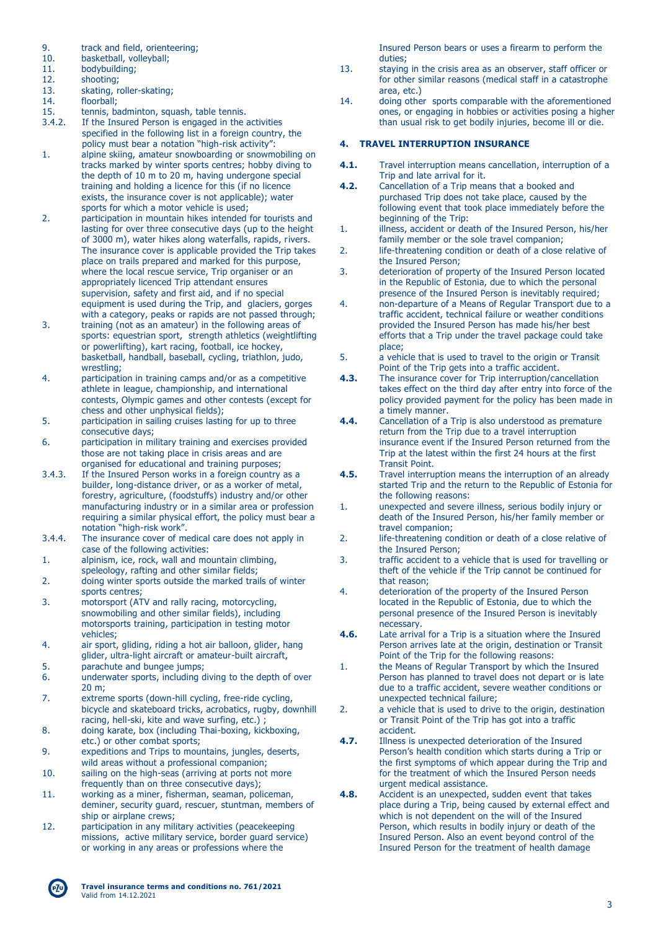- 9. track and field, orienteering;<br>10. basketball, volleyball:
- 10. basketball, volleyball;<br>11. bodybuilding:
- bodybuilding;
- 12. shooting;<br>13. skating, r
- skating, roller-skating;
- 14. floorball;
- 
- 15. tennis, badminton, squash, table tennis.<br>3.4.2. If the Insured Person is engaged in the If the Insured Person is engaged in the activities specified in the following list in a foreign country, the policy must bear a notation "high-risk activity":
- 1. alpine skiing, amateur snowboarding or snowmobiling on tracks marked by winter sports centres; hobby diving to the depth of 10 m to 20 m, having undergone special training and holding a licence for this (if no licence exists, the insurance cover is not applicable); water sports for which a motor vehicle is used;
- 2. participation in mountain hikes intended for tourists and lasting for over three consecutive days (up to the height of 3000 m), water hikes along waterfalls, rapids, rivers. The insurance cover is applicable provided the Trip takes place on trails prepared and marked for this purpose, where the local rescue service, Trip organiser or an appropriately licenced Trip attendant ensures supervision, safety and first aid, and if no special equipment is used during the Trip, and glaciers, gorges with a category, peaks or rapids are not passed through;
- 3. training (not as an amateur) in the following areas of sports: equestrian sport, strength athletics (weightlifting or powerlifting), kart racing, football, ice hockey, basketball, handball, baseball, cycling, triathlon, judo, wrestling;
- 4. participation in training camps and/or as a competitive athlete in league, championship, and international contests, Olympic games and other contests (except for chess and other unphysical fields);
- 5. participation in sailing cruises lasting for up to three consecutive days;
- 6. participation in military training and exercises provided those are not taking place in crisis areas and are organised for educational and training purposes;
- 3.4.3. If the Insured Person works in a foreign country as a builder, long-distance driver, or as a worker of metal, forestry, agriculture, (foodstuffs) industry and/or other manufacturing industry or in a similar area or profession requiring a similar physical effort, the policy must bear a notation "high-risk work".
- 3.4.4. The insurance cover of medical care does not apply in case of the following activities:
- 1. alpinism, ice, rock, wall and mountain climbing, speleology, rafting and other similar fields;
- 2. doing winter sports outside the marked trails of winter sports centres;
- 3. motorsport (ATV and rally racing, motorcycling, snowmobiling and other similar fields), including motorsports training, participation in testing motor vehicles;
- 4. air sport, gliding, riding a hot air balloon, glider, hang glider, ultra-light aircraft or amateur-built aircraft, 5. parachute and bungee jumps;
- 6. underwater sports, including diving to the depth of over
- 20 m; 7. extreme sports (down-hill cycling, free-ride cycling,
- bicycle and skateboard tricks, acrobatics, rugby, downhill racing, hell-ski, kite and wave surfing, etc.) ; 8. doing karate, box (including Thai-boxing, kickboxing,
- etc.) or other combat sports;
- 9. expeditions and Trips to mountains, jungles, deserts, wild areas without a professional companion;
- 10. sailing on the high-seas (arriving at ports not more frequently than on three consecutive days);
- 11. working as a miner, fisherman, seaman, policeman, deminer, security guard, rescuer, stuntman, members of ship or airplane crews;
- 12. participation in any military activities (peacekeeping missions, active military service, border guard service) or working in any areas or professions where the

Insured Person bears or uses a firearm to perform the duties;

- 13. staying in the crisis area as an observer, staff officer or for other similar reasons (medical staff in a catastrophe area, etc.)
- 14. doing other sports comparable with the aforementioned ones, or engaging in hobbies or activities posing a higher than usual risk to get bodily injuries, become ill or die.

## **4. TRAVEL INTERRUPTION INSURANCE**

- **4.1.** Travel interruption means cancellation, interruption of a Trip and late arrival for it.
- **4.2.** Cancellation of a Trip means that a booked and purchased Trip does not take place, caused by the following event that took place immediately before the beginning of the Trip:
- 1. illness, accident or death of the Insured Person, his/her family member or the sole travel companion;
- 2. life-threatening condition or death of a close relative of the Insured Person;
- 3. deterioration of property of the Insured Person located in the Republic of Estonia, due to which the personal presence of the Insured Person is inevitably required;
- 4. non-departure of a Means of Regular Transport due to a traffic accident, technical failure or weather conditions provided the Insured Person has made his/her best efforts that a Trip under the travel package could take place;
- 5. a vehicle that is used to travel to the origin or Transit Point of the Trip gets into a traffic accident.
- **4.3.** The insurance cover for Trip interruption/cancellation takes effect on the third day after entry into force of the policy provided payment for the policy has been made in a timely manner.
- **4.4.** Cancellation of a Trip is also understood as premature return from the Trip due to a travel interruption insurance event if the Insured Person returned from the Trip at the latest within the first 24 hours at the first Transit Point.
- **4.5.** Travel interruption means the interruption of an already started Trip and the return to the Republic of Estonia for the following reasons:
- 1. unexpected and severe illness, serious bodily injury or death of the Insured Person, his/her family member or travel companion;
- 2. life-threatening condition or death of a close relative of the Insured Person;
- 3. traffic accident to a vehicle that is used for travelling or theft of the vehicle if the Trip cannot be continued for that reason;
- 4. deterioration of the property of the Insured Person located in the Republic of Estonia, due to which the personal presence of the Insured Person is inevitably necessary.
- **4.6.** Late arrival for a Trip is a situation where the Insured Person arrives late at the origin, destination or Transit Point of the Trip for the following reasons:
- 1. the Means of Regular Transport by which the Insured Person has planned to travel does not depart or is late due to a traffic accident, severe weather conditions or unexpected technical failure;
- 2. a vehicle that is used to drive to the origin, destination or Transit Point of the Trip has got into a traffic accident.
- **4.7.** Illness is unexpected deterioration of the Insured Person's health condition which starts during a Trip or the first symptoms of which appear during the Trip and for the treatment of which the Insured Person needs urgent medical assistance.
- **4.8.** Accident is an unexpected, sudden event that takes place during a Trip, being caused by external effect and which is not dependent on the will of the Insured Person, which results in bodily injury or death of the Insured Person. Also an event beyond control of the Insured Person for the treatment of health damage

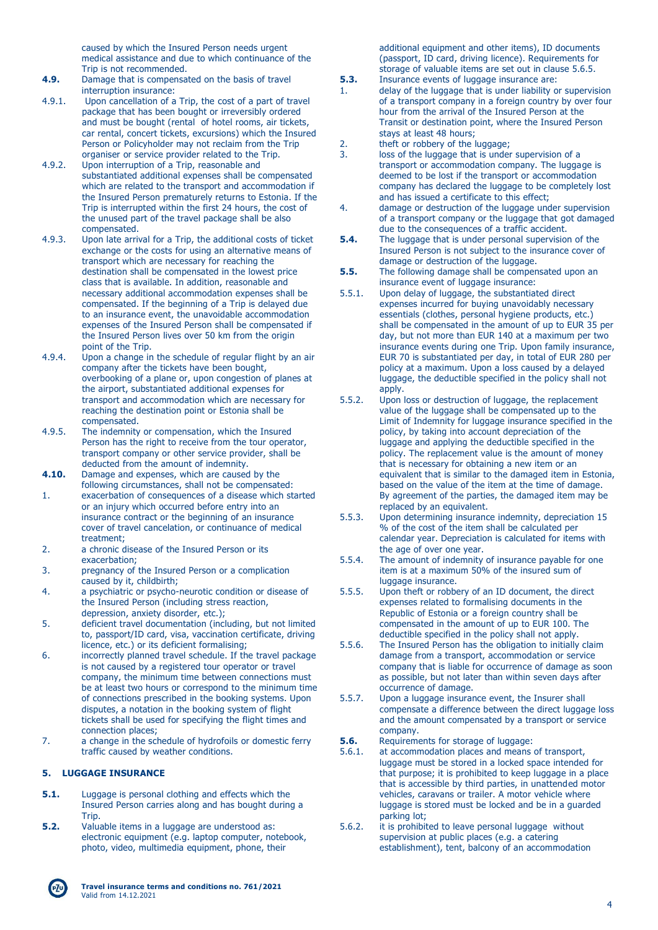caused by which the Insured Person needs urgent medical assistance and due to which continuance of the Trip is not recommended.

- **4.9.** Damage that is compensated on the basis of travel interruption insurance:
- 4.9.1. Upon cancellation of a Trip, the cost of a part of travel package that has been bought or irreversibly ordered and must be bought (rental of hotel rooms, air tickets, car rental, concert tickets, excursions) which the Insured Person or Policyholder may not reclaim from the Trip organiser or service provider related to the Trip.
- 4.9.2. Upon interruption of a Trip, reasonable and substantiated additional expenses shall be compensated which are related to the transport and accommodation if the Insured Person prematurely returns to Estonia. If the Trip is interrupted within the first 24 hours, the cost of the unused part of the travel package shall be also compensated.
- 4.9.3. Upon late arrival for a Trip, the additional costs of ticket exchange or the costs for using an alternative means of transport which are necessary for reaching the destination shall be compensated in the lowest price class that is available. In addition, reasonable and necessary additional accommodation expenses shall be compensated. If the beginning of a Trip is delayed due to an insurance event, the unavoidable accommodation expenses of the Insured Person shall be compensated if the Insured Person lives over 50 km from the origin point of the Trip.
- 4.9.4. Upon a change in the schedule of regular flight by an air company after the tickets have been bought, overbooking of a plane or, upon congestion of planes at the airport, substantiated additional expenses for transport and accommodation which are necessary for reaching the destination point or Estonia shall be compensated.
- 4.9.5. The indemnity or compensation, which the Insured Person has the right to receive from the tour operator, transport company or other service provider, shall be deducted from the amount of indemnity.
- **4.10.** Damage and expenses, which are caused by the following circumstances, shall not be compensated:
- 1. exacerbation of consequences of a disease which started or an injury which occurred before entry into an insurance contract or the beginning of an insurance cover of travel cancelation, or continuance of medical treatment;
- 2. a chronic disease of the Insured Person or its exacerbation;
- 3. pregnancy of the Insured Person or a complication caused by it, childbirth;
- 4. a psychiatric or psycho-neurotic condition or disease of the Insured Person (including stress reaction, depression, anxiety disorder, etc.);
- 5. deficient travel documentation (including, but not limited to, passport/ID card, visa, vaccination certificate, driving licence, etc.) or its deficient formalising;
- 6. incorrectly planned travel schedule. If the travel package is not caused by a registered tour operator or travel company, the minimum time between connections must be at least two hours or correspond to the minimum time of connections prescribed in the booking systems. Upon disputes, a notation in the booking system of flight tickets shall be used for specifying the flight times and connection places;
- 7. a change in the schedule of hydrofoils or domestic ferry traffic caused by weather conditions.

## **5. LUGGAGE INSURANCE**

- **5.1.** Luggage is personal clothing and effects which the Insured Person carries along and has bought during a Trip.
- **5.2.** Valuable items in a luggage are understood as: electronic equipment (e.g. laptop computer, notebook, photo, video, multimedia equipment, phone, their

additional equipment and other items), ID documents (passport, ID card, driving licence). Requirements for storage of valuable items are set out in clause 5.6.5.

- **5.3.** Insurance events of luggage insurance are:<br>1 delay of the luggage that is under liability of delay of the luggage that is under liability or supervision of a transport company in a foreign country by over four hour from the arrival of the Insured Person at the Transit or destination point, where the Insured Person stays at least 48 hours;
- 2. theft or robbery of the luggage;<br>3. loss of the luggage that is under
- loss of the luggage that is under supervision of a transport or accommodation company. The luggage is deemed to be lost if the transport or accommodation company has declared the luggage to be completely lost and has issued a certificate to this effect;
- 4. damage or destruction of the luggage under supervision of a transport company or the luggage that got damaged due to the consequences of a traffic accident.
- **5.4.** The luggage that is under personal supervision of the Insured Person is not subject to the insurance cover of damage or destruction of the luggage.
- **5.5.** The following damage shall be compensated upon an insurance event of luggage insurance:
- 5.5.1. Upon delay of luggage, the substantiated direct expenses incurred for buying unavoidably necessary essentials (clothes, personal hygiene products, etc.) shall be compensated in the amount of up to EUR 35 per day, but not more than EUR 140 at a maximum per two insurance events during one Trip. Upon family insurance, EUR 70 is substantiated per day, in total of EUR 280 per policy at a maximum. Upon a loss caused by a delayed luggage, the deductible specified in the policy shall not apply.
- 5.5.2. Upon loss or destruction of luggage, the replacement value of the luggage shall be compensated up to the Limit of Indemnity for luggage insurance specified in the policy, by taking into account depreciation of the luggage and applying the deductible specified in the policy. The replacement value is the amount of money that is necessary for obtaining a new item or an equivalent that is similar to the damaged item in Estonia, based on the value of the item at the time of damage. By agreement of the parties, the damaged item may be replaced by an equivalent.
- 5.5.3. Upon determining insurance indemnity, depreciation 15 % of the cost of the item shall be calculated per calendar year. Depreciation is calculated for items with the age of over one year.
- 5.5.4. The amount of indemnity of insurance payable for one item is at a maximum 50% of the insured sum of luggage insurance.
- 5.5.5. Upon theft or robbery of an ID document, the direct expenses related to formalising documents in the Republic of Estonia or a foreign country shall be compensated in the amount of up to EUR 100. The deductible specified in the policy shall not apply.
- 5.5.6. The Insured Person has the obligation to initially claim damage from a transport, accommodation or service company that is liable for occurrence of damage as soon as possible, but not later than within seven days after occurrence of damage.
- 5.5.7. Upon a luggage insurance event, the Insurer shall compensate a difference between the direct luggage loss and the amount compensated by a transport or service company.
- **5.6.** Requirements for storage of luggage:
- 5.6.1. at accommodation places and means of transport, luggage must be stored in a locked space intended for that purpose; it is prohibited to keep luggage in a place that is accessible by third parties, in unattended motor vehicles, caravans or trailer. A motor vehicle where luggage is stored must be locked and be in a guarded parking lot;
- 5.6.2. it is prohibited to leave personal luggage without supervision at public places (e.g. a catering establishment), tent, balcony of an accommodation

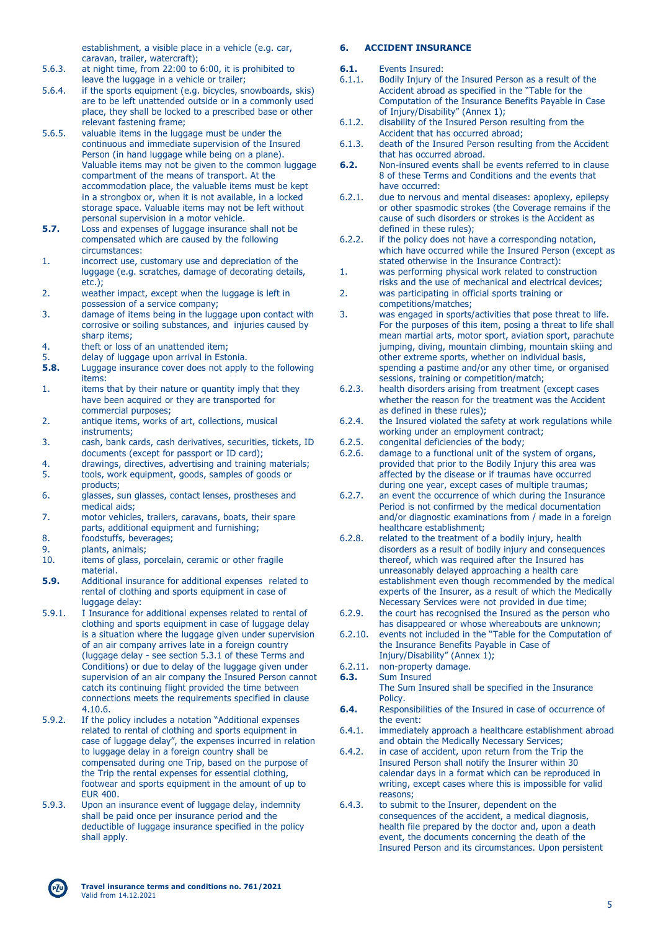establishment, a visible place in a vehicle (e.g. car, caravan, trailer, watercraft);

- 5.6.3. at night time, from 22:00 to 6:00, it is prohibited to leave the luggage in a vehicle or trailer;
- 5.6.4. if the sports equipment (e.g. bicycles, snowboards, skis) are to be left unattended outside or in a commonly used place, they shall be locked to a prescribed base or other relevant fastening frame;
- 5.6.5. valuable items in the luggage must be under the continuous and immediate supervision of the Insured Person (in hand luggage while being on a plane). Valuable items may not be given to the common luggage compartment of the means of transport. At the accommodation place, the valuable items must be kept in a strongbox or, when it is not available, in a locked storage space. Valuable items may not be left without personal supervision in a motor vehicle.
- **5.7.** Loss and expenses of luggage insurance shall not be compensated which are caused by the following circumstances:
- 1. incorrect use, customary use and depreciation of the luggage (e.g. scratches, damage of decorating details, etc.);
- 2. weather impact, except when the luggage is left in possession of a service company;
- 3. damage of items being in the luggage upon contact with corrosive or soiling substances, and injuries caused by sharn items;
- 4. theft or loss of an unattended item;<br>5. delay of luggage upon arrival in Esto
- 5. delay of luggage upon arrival in Estonia.<br>**5.8.** Luggage insurance cover does not apply
- **5.8.** Luggage insurance cover does not apply to the following items:
- 1. items that by their nature or quantity imply that they have been acquired or they are transported for commercial purposes;
- 2. antique items, works of art, collections, musical instruments;
- 3. cash, bank cards, cash derivatives, securities, tickets, ID documents (except for passport or ID card);
- 4. drawings, directives, advertising and training materials; 5. tools, work equipment, goods, samples of goods or products;
- 6. glasses, sun glasses, contact lenses, prostheses and medical aids;
- 7. motor vehicles, trailers, caravans, boats, their spare parts, additional equipment and furnishing:
- 8. foodstuffs, beverages;
- 9. plants, animals;
- 10. items of glass, porcelain, ceramic or other fragile material.
- **5.9.** Additional insurance for additional expenses related to rental of clothing and sports equipment in case of luggage delay:
- 5.9.1. I Insurance for additional expenses related to rental of clothing and sports equipment in case of luggage delay is a situation where the luggage given under supervision of an air company arrives late in a foreign country (luggage delay - see section 5.3.1 of these Terms and Conditions) or due to delay of the luggage given under supervision of an air company the Insured Person cannot catch its continuing flight provided the time between connections meets the requirements specified in clause 4.10.6.
- 5.9.2. If the policy includes a notation "Additional expenses related to rental of clothing and sports equipment in case of luggage delay", the expenses incurred in relation to luggage delay in a foreign country shall be compensated during one Trip, based on the purpose of the Trip the rental expenses for essential clothing, footwear and sports equipment in the amount of up to EUR 400.
- 5.9.3. Upon an insurance event of luggage delay, indemnity shall be paid once per insurance period and the deductible of luggage insurance specified in the policy shall apply.

### **6. ACCIDENT INSURANCE**

- **6.1.** Events Insured:
- 6.1.1. Bodily Injury of the Insured Person as a result of the Accident abroad as specified in the "Table for the Computation of the Insurance Benefits Payable in Case of Injury/Disability" (Annex 1);
- 6.1.2. disability of the Insured Person resulting from the Accident that has occurred abroad;
- 6.1.3. death of the Insured Person resulting from the Accident that has occurred abroad.
- **6.2.** Non-insured events shall be events referred to in clause 8 of these Terms and Conditions and the events that have occurred:
- 6.2.1. due to nervous and mental diseases: apoplexy, epilepsy or other spasmodic strokes (the Coverage remains if the cause of such disorders or strokes is the Accident as defined in these rules);
- 6.2.2. if the policy does not have a corresponding notation, which have occurred while the Insured Person (except as stated otherwise in the Insurance Contract):
- 1. was performing physical work related to construction risks and the use of mechanical and electrical devices;
- 2. was participating in official sports training or competitions/matches;
- 3. was engaged in sports/activities that pose threat to life. For the purposes of this item, posing a threat to life shall mean martial arts, motor sport, aviation sport, parachute jumping, diving, mountain climbing, mountain skiing and other extreme sports, whether on individual basis, spending a pastime and/or any other time, or organised sessions, training or competition/match;
- 6.2.3. health disorders arising from treatment (except cases whether the reason for the treatment was the Accident as defined in these rules);
- 6.2.4. the Insured violated the safety at work regulations while working under an employment contract;
- 6.2.5. congenital deficiencies of the body;<br>6.2.6. damage to a functional unit of the s
- damage to a functional unit of the system of organs, provided that prior to the Bodily Injury this area was affected by the disease or if traumas have occurred during one year, except cases of multiple traumas;
- 6.2.7. an event the occurrence of which during the Insurance Period is not confirmed by the medical documentation and/or diagnostic examinations from / made in a foreign healthcare establishment;
- 6.2.8. related to the treatment of a bodily injury, health disorders as a result of bodily injury and consequences thereof, which was required after the Insured has unreasonably delayed approaching a health care establishment even though recommended by the medical experts of the Insurer, as a result of which the Medically Necessary Services were not provided in due time;
- 6.2.9. the court has recognised the Insured as the person who has disappeared or whose whereabouts are unknown;
- 6.2.10. events not included in the "Table for the Computation of the Insurance Benefits Payable in Case of Injury/Disability" (Annex 1);
- 6.2.11. non-property damage.
- **6.3.** Sum Insured
	- The Sum Insured shall be specified in the Insurance **Policy**
- **6.4.** Responsibilities of the Insured in case of occurrence of the event:
- 6.4.1. immediately approach a healthcare establishment abroad and obtain the Medically Necessary Services;
- 6.4.2. in case of accident, upon return from the Trip the Insured Person shall notify the Insurer within 30 calendar days in a format which can be reproduced in writing, except cases where this is impossible for valid reasons;
- 6.4.3. to submit to the Insurer, dependent on the consequences of the accident, a medical diagnosis, health file prepared by the doctor and, upon a death event, the documents concerning the death of the Insured Person and its circumstances. Upon persistent

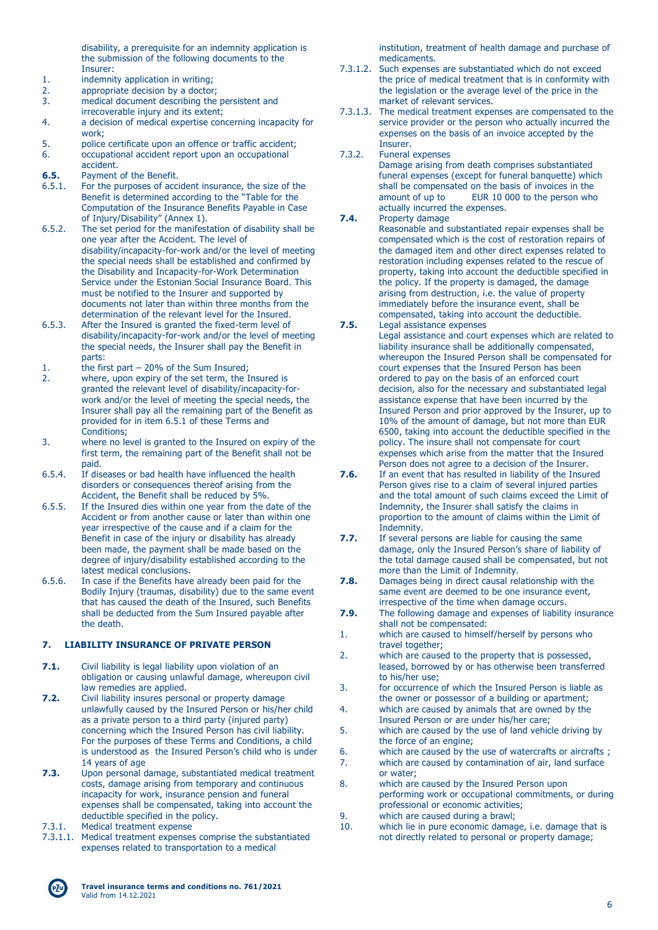disability, a prerequisite for an indemnity application is the submission of the following documents to the Insurer:

- 1. indemnity application in writing;<br>2. appropriate decision by a doctor
- appropriate decision by a doctor;
- 3. medical document describing the persistent and irrecoverable injury and its extent;
- 4. a decision of medical expertise concerning incapacity for work;
- 5. police certificate upon an offence or traffic accident; 6. occupational accident report upon an occupational accident.
- 
- **6.5.** Payment of the Benefit.<br>6.5.1. For the purposes of acci 6.5.1. For the purposes of accident insurance, the size of the Benefit is determined according to the "Table for the Computation of the Insurance Benefits Payable in Case of Injury/Disability" (Annex 1).
- 6.5.2. The set period for the manifestation of disability shall be one year after the Accident. The level of disability/incapacity-for-work and/or the level of meeting the special needs shall be established and confirmed by the Disability and Incapacity-for-Work Determination Service under the Estonian Social Insurance Board. This must be notified to the Insurer and supported by documents not later than within three months from the determination of the relevant level for the Insured.
- 6.5.3. After the Insured is granted the fixed-term level of disability/incapacity-for-work and/or the level of meeting the special needs, the Insurer shall pay the Benefit in parts:
- 1. the first part 20% of the Sum Insured;
- 2. where, upon expiry of the set term, the Insured is granted the relevant level of disability/incapacity-forwork and/or the level of meeting the special needs, the Insurer shall pay all the remaining part of the Benefit as provided for in item 6.5.1 of these Terms and Conditions;
- 3. where no level is granted to the Insured on expiry of the first term, the remaining part of the Benefit shall not be paid.
- 6.5.4. If diseases or bad health have influenced the health disorders or consequences thereof arising from the Accident, the Benefit shall be reduced by 5%.
- 6.5.5. If the Insured dies within one year from the date of the Accident or from another cause or later than within one year irrespective of the cause and if a claim for the Benefit in case of the injury or disability has already been made, the payment shall be made based on the degree of injury/disability established according to the latest medical conclusions.
- 6.5.6. In case if the Benefits have already been paid for the Bodily Injury (traumas, disability) due to the same event that has caused the death of the Insured, such Benefits shall be deducted from the Sum Insured payable after the death.

## **7. LIABILITY INSURANCE OF PRIVATE PERSON**

- **7.1.** Civil liability is legal liability upon violation of an obligation or causing unlawful damage, whereupon civil law remedies are applied.
- **7.2.** Civil liability insures personal or property damage unlawfully caused by the Insured Person or his/her child as a private person to a third party (injured party) concerning which the Insured Person has civil liability. For the purposes of these Terms and Conditions, a child is understood as the Insured Person's child who is under 14 years of age
- **7.3.** Upon personal damage, substantiated medical treatment costs, damage arising from temporary and continuous incapacity for work, insurance pension and funeral expenses shall be compensated, taking into account the deductible specified in the policy.
- 7.3.1. Medical treatment expense
- 7.3.1.1. Medical treatment expenses comprise the substantiated expenses related to transportation to a medical

institution, treatment of health damage and purchase of medicaments.

- 7.3.1.2. Such expenses are substantiated which do not exceed the price of medical treatment that is in conformity with the legislation or the average level of the price in the market of relevant services.
- 7.3.1.3. The medical treatment expenses are compensated to the service provider or the person who actually incurred the expenses on the basis of an invoice accepted by the Insurer.
- 7.3.2. Funeral expenses

Damage arising from death comprises substantiated funeral expenses (except for funeral banquette) which shall be compensated on the basis of invoices in the amount of up to EUR 10 000 to the person who actually incurred the expenses.

**7.4.** Property damage

Reasonable and substantiated repair expenses shall be compensated which is the cost of restoration repairs of the damaged item and other direct expenses related to restoration including expenses related to the rescue of property, taking into account the deductible specified in the policy. If the property is damaged, the damage arising from destruction, i.e. the value of property immediately before the insurance event, shall be compensated, taking into account the deductible.

- **7.5.** Legal assistance expenses Legal assistance and court expenses which are related to liability insurance shall be additionally compensated, whereupon the Insured Person shall be compensated for court expenses that the Insured Person has been ordered to pay on the basis of an enforced court decision, also for the necessary and substantiated legal assistance expense that have been incurred by the Insured Person and prior approved by the Insurer, up to 10% of the amount of damage, but not more than EUR 6500, taking into account the deductible specified in the policy. The insure shall not compensate for court expenses which arise from the matter that the Insured Person does not agree to a decision of the Insurer.
- **7.6.** If an event that has resulted in liability of the Insured Person gives rise to a claim of several injured parties and the total amount of such claims exceed the Limit of Indemnity, the Insurer shall satisfy the claims in proportion to the amount of claims within the Limit of .<br>Indemnity.
- **7.7.** If several persons are liable for causing the same damage, only the Insured Person's share of liability of the total damage caused shall be compensated, but not more than the Limit of Indemnity.
- **7.8.** Damages being in direct causal relationship with the same event are deemed to be one insurance event, irrespective of the time when damage occurs.
- **7.9.** The following damage and expenses of liability insurance shall not be compensated:
- 1. which are caused to himself/herself by persons who travel together;
- 2. which are caused to the property that is possessed, leased, borrowed by or has otherwise been transferred to his/her use;
- 3. for occurrence of which the Insured Person is liable as the owner or possessor of a building or apartment;
- 4. which are caused by animals that are owned by the Insured Person or are under his/her care;
- 5. which are caused by the use of land vehicle driving by the force of an engine;
- 6. which are caused by the use of watercrafts or aircrafts ; 7. which are caused by contamination of air, land surface or water;
- 8. which are caused by the Insured Person upon performing work or occupational commitments, or during professional or economic activities;
- 9. which are caused during a brawl;
- 10. which lie in pure economic damage, i.e. damage that is not directly related to personal or property damage;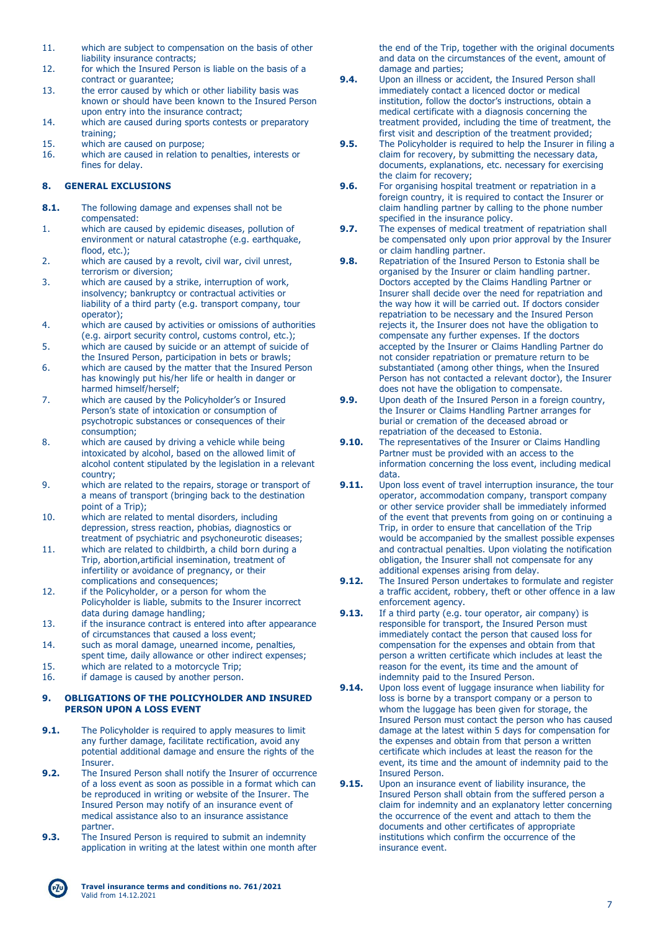- 11. which are subject to compensation on the basis of other liability insurance contracts;
- 12. for which the Insured Person is liable on the basis of a contract or guarantee;
- 13. the error caused by which or other liability basis was known or should have been known to the Insured Person upon entry into the insurance contract;
- 14. which are caused during sports contests or preparatory training;
- 15. which are caused on purpose;
- 16. which are caused in relation to penalties, interests or fines for delay.

## **8. GENERAL EXCLUSIONS**

- **8.1.** The following damage and expenses shall not be compensated:
- 1. which are caused by epidemic diseases, pollution of environment or natural catastrophe (e.g. earthquake, flood, etc.);
- 2. which are caused by a revolt, civil war, civil unrest, terrorism or diversion;
- 3. which are caused by a strike, interruption of work, insolvency; bankruptcy or contractual activities or liability of a third party (e.g. transport company, tour operator);
- 4. which are caused by activities or omissions of authorities (e.g. airport security control, customs control, etc.);
- 5. which are caused by suicide or an attempt of suicide of the Insured Person, participation in bets or brawls;
- 6. which are caused by the matter that the Insured Person has knowingly put his/her life or health in danger or harmed himself/herself;
- 7. which are caused by the Policyholder's or Insured Person's state of intoxication or consumption of psychotropic substances or consequences of their consumption;
- 8. which are caused by driving a vehicle while being intoxicated by alcohol, based on the allowed limit of alcohol content stipulated by the legislation in a relevant country;
- 9. which are related to the repairs, storage or transport of a means of transport (bringing back to the destination point of a Trip);
- 10. which are related to mental disorders, including depression, stress reaction, phobias, diagnostics or treatment of psychiatric and psychoneurotic diseases;
- 11. which are related to childbirth, a child born during a Trip, abortion,artificial insemination, treatment of infertility or avoidance of pregnancy, or their complications and consequences;
- 12. if the Policyholder, or a person for whom the Policyholder is liable, submits to the Insurer incorrect data during damage handling;
- 13. if the insurance contract is entered into after appearance of circumstances that caused a loss event;
- 14. such as moral damage, unearned income, penalties,
- spent time, daily allowance or other indirect expenses;
- 15. which are related to a motorcycle Trip; 16. if damage is caused by another person.

### **9. OBLIGATIONS OF THE POLICYHOLDER AND INSURED PERSON UPON A LOSS EVENT**

- **9.1.** The Policyholder is required to apply measures to limit any further damage, facilitate rectification, avoid any potential additional damage and ensure the rights of the Insurer.
- **9.2.** The Insured Person shall notify the Insurer of occurrence of a loss event as soon as possible in a format which can be reproduced in writing or website of the Insurer. The Insured Person may notify of an insurance event of medical assistance also to an insurance assistance partner.
- **9.3.** The Insured Person is required to submit an indemnity application in writing at the latest within one month after

the end of the Trip, together with the original documents and data on the circumstances of the event, amount of damage and parties;

- **9.4.** Upon an illness or accident, the Insured Person shall immediately contact a licenced doctor or medical institution, follow the doctor's instructions, obtain a medical certificate with a diagnosis concerning the treatment provided, including the time of treatment, the first visit and description of the treatment provided;
- **9.5.** The Policyholder is required to help the Insurer in filing a claim for recovery, by submitting the necessary data, documents, explanations, etc. necessary for exercising the claim for recovery;
- **9.6.** For organising hospital treatment or repatriation in a foreign country, it is required to contact the Insurer or claim handling partner by calling to the phone number specified in the insurance policy.
- **9.7.** The expenses of medical treatment of repatriation shall be compensated only upon prior approval by the Insurer or claim handling partner.
- **9.8.** Repatriation of the Insured Person to Estonia shall be organised by the Insurer or claim handling partner. Doctors accepted by the Claims Handling Partner or Insurer shall decide over the need for repatriation and the way how it will be carried out. If doctors consider repatriation to be necessary and the Insured Person rejects it, the Insurer does not have the obligation to compensate any further expenses. If the doctors accepted by the Insurer or Claims Handling Partner do not consider repatriation or premature return to be substantiated (among other things, when the Insured Person has not contacted a relevant doctor), the Insurer does not have the obligation to compensate.
- **9.9.** Upon death of the Insured Person in a foreign country, the Insurer or Claims Handling Partner arranges for burial or cremation of the deceased abroad or repatriation of the deceased to Estonia.
- **9.10.** The representatives of the Insurer or Claims Handling Partner must be provided with an access to the information concerning the loss event, including medical data.
- **9.11.** Upon loss event of travel interruption insurance, the tour operator, accommodation company, transport company or other service provider shall be immediately informed of the event that prevents from going on or continuing a Trip, in order to ensure that cancellation of the Trip would be accompanied by the smallest possible expenses and contractual penalties. Upon violating the notification obligation, the Insurer shall not compensate for any additional expenses arising from delay.
- **9.12.** The Insured Person undertakes to formulate and register a traffic accident, robbery, theft or other offence in a law enforcement agency.
- **9.13.** If a third party (e.g. tour operator, air company) is responsible for transport, the Insured Person must immediately contact the person that caused loss for compensation for the expenses and obtain from that person a written certificate which includes at least the reason for the event, its time and the amount of indemnity paid to the Insured Person.
- **9.14.** Upon loss event of luggage insurance when liability for loss is borne by a transport company or a person to whom the luggage has been given for storage, the Insured Person must contact the person who has caused damage at the latest within 5 days for compensation for the expenses and obtain from that person a written certificate which includes at least the reason for the event, its time and the amount of indemnity paid to the Insured Person.
- **9.15.** Upon an insurance event of liability insurance, the Insured Person shall obtain from the suffered person a claim for indemnity and an explanatory letter concerning the occurrence of the event and attach to them the documents and other certificates of appropriate institutions which confirm the occurrence of the insurance event.

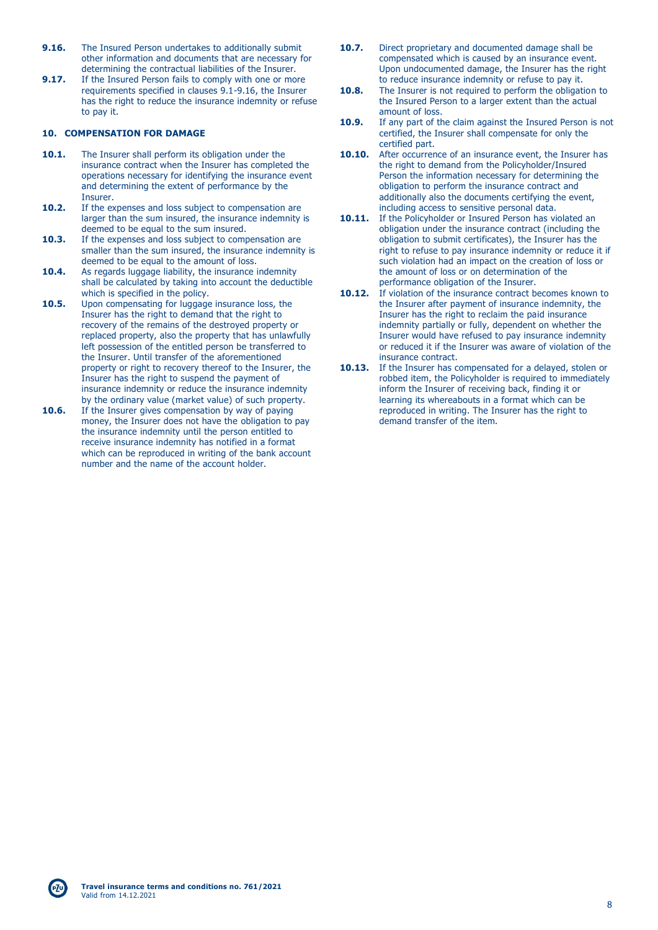- **9.16.** The Insured Person undertakes to additionally submit other information and documents that are necessary for determining the contractual liabilities of the Insurer.
- **9.17.** If the Insured Person fails to comply with one or more requirements specified in clauses 9.1-9.16, the Insurer has the right to reduce the insurance indemnity or refuse to pay it.

### **10. COMPENSATION FOR DAMAGE**

- **10.1.** The Insurer shall perform its obligation under the insurance contract when the Insurer has completed the operations necessary for identifying the insurance event and determining the extent of performance by the Insurer.
- **10.2.** If the expenses and loss subject to compensation are larger than the sum insured, the insurance indemnity is deemed to be equal to the sum insured.
- **10.3.** If the expenses and loss subject to compensation are smaller than the sum insured, the insurance indemnity is deemed to be equal to the amount of loss.
- 10.4. As regards luggage liability, the insurance indemnity shall be calculated by taking into account the deductible which is specified in the policy.
- **10.5.** Upon compensating for luggage insurance loss, the Insurer has the right to demand that the right to recovery of the remains of the destroyed property or replaced property, also the property that has unlawfully left possession of the entitled person be transferred to the Insurer. Until transfer of the aforementioned property or right to recovery thereof to the Insurer, the Insurer has the right to suspend the payment of insurance indemnity or reduce the insurance indemnity by the ordinary value (market value) of such property.
- **10.6.** If the Insurer gives compensation by way of paying money, the Insurer does not have the obligation to pay the insurance indemnity until the person entitled to receive insurance indemnity has notified in a format which can be reproduced in writing of the bank account number and the name of the account holder.
- **10.7.** Direct proprietary and documented damage shall be compensated which is caused by an insurance event. Upon undocumented damage, the Insurer has the right to reduce insurance indemnity or refuse to pay it.
- **10.8.** The Insurer is not required to perform the obligation to the Insured Person to a larger extent than the actual amount of loss.
- **10.9.** If any part of the claim against the Insured Person is not certified, the Insurer shall compensate for only the certified part.
- **10.10.** After occurrence of an insurance event, the Insurer has the right to demand from the Policyholder/Insured Person the information necessary for determining the obligation to perform the insurance contract and additionally also the documents certifying the event, including access to sensitive personal data.
- 10.11. If the Policyholder or Insured Person has violated an obligation under the insurance contract (including the obligation to submit certificates), the Insurer has the right to refuse to pay insurance indemnity or reduce it if such violation had an impact on the creation of loss or the amount of loss or on determination of the performance obligation of the Insurer.
- **10.12.** If violation of the insurance contract becomes known to the Insurer after payment of insurance indemnity, the Insurer has the right to reclaim the paid insurance indemnity partially or fully, dependent on whether the Insurer would have refused to pay insurance indemnity or reduced it if the Insurer was aware of violation of the insurance contract.
- **10.13.** If the Insurer has compensated for a delayed, stolen or robbed item, the Policyholder is required to immediately inform the Insurer of receiving back, finding it or learning its whereabouts in a format which can be reproduced in writing. The Insurer has the right to demand transfer of the item.

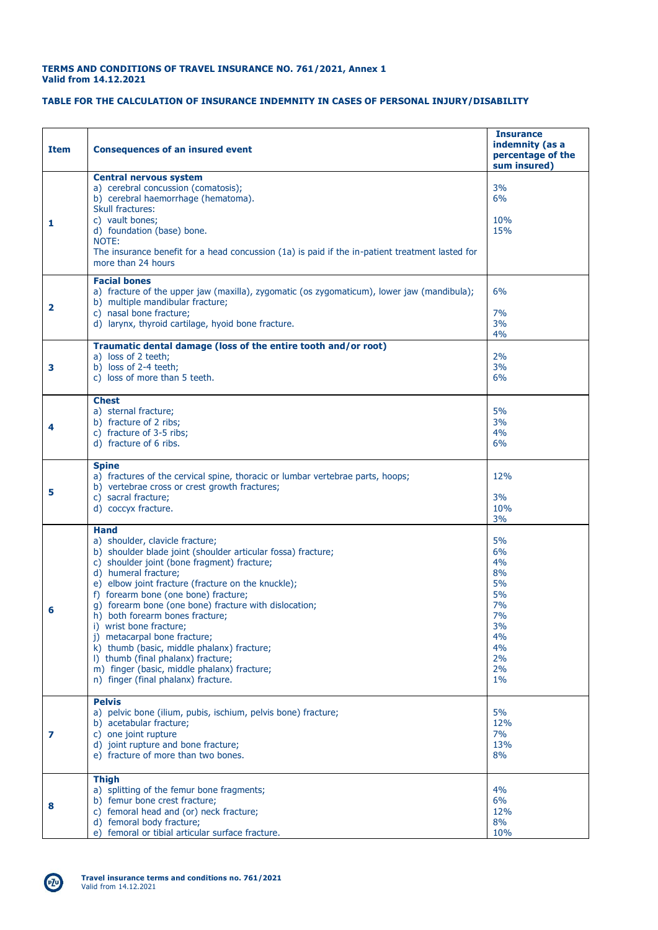### **TERMS AND CONDITIONS OF TRAVEL INSURANCE NO. 761/2021, Annex 1 Valid from 14.12.2021**

## **TABLE FOR THE CALCULATION OF INSURANCE INDEMNITY IN CASES OF PERSONAL INJURY/DISABILITY**

| <b>Item</b>  | <b>Consequences of an insured event</b>                                                                                                                                                                                                                                                                                                                                                                                                                                                                                                                                                                              | <b>Insurance</b><br>indemnity (as a<br>percentage of the<br>sum insured)            |
|--------------|----------------------------------------------------------------------------------------------------------------------------------------------------------------------------------------------------------------------------------------------------------------------------------------------------------------------------------------------------------------------------------------------------------------------------------------------------------------------------------------------------------------------------------------------------------------------------------------------------------------------|-------------------------------------------------------------------------------------|
| 1            | <b>Central nervous system</b><br>a) cerebral concussion (comatosis);<br>b) cerebral haemorrhage (hematoma).<br>Skull fractures:<br>c) vault bones;<br>d) foundation (base) bone.<br>NOTE:<br>The insurance benefit for a head concussion (1a) is paid if the in-patient treatment lasted for<br>more than 24 hours                                                                                                                                                                                                                                                                                                   | 3%<br>6%<br>10%<br>15%                                                              |
| $\mathbf{2}$ | <b>Facial bones</b><br>a) fracture of the upper jaw (maxilla), zygomatic (os zygomaticum), lower jaw (mandibula);<br>b) multiple mandibular fracture;<br>c) nasal bone fracture;<br>d) larynx, thyroid cartilage, hyoid bone fracture.                                                                                                                                                                                                                                                                                                                                                                               | 6%<br>7%<br>3%<br>4%                                                                |
| 3            | Traumatic dental damage (loss of the entire tooth and/or root)<br>a) loss of 2 teeth;<br>b) loss of 2-4 teeth;<br>c) loss of more than 5 teeth.                                                                                                                                                                                                                                                                                                                                                                                                                                                                      | 2%<br>3%<br>6%                                                                      |
| 4            | <b>Chest</b><br>a) sternal fracture;<br>b) fracture of 2 ribs;<br>c) fracture of 3-5 ribs;<br>d) fracture of 6 ribs.                                                                                                                                                                                                                                                                                                                                                                                                                                                                                                 | 5%<br>3%<br>4%<br>6%                                                                |
| 5            | <b>Spine</b><br>a) fractures of the cervical spine, thoracic or lumbar vertebrae parts, hoops;<br>b) vertebrae cross or crest growth fractures;<br>c) sacral fracture;<br>d) coccyx fracture.                                                                                                                                                                                                                                                                                                                                                                                                                        | 12%<br>3%<br>10%<br>3%                                                              |
| 6            | <b>Hand</b><br>a) shoulder, clavicle fracture;<br>b) shoulder blade joint (shoulder articular fossa) fracture;<br>c) shoulder joint (bone fragment) fracture;<br>d) humeral fracture;<br>e) elbow joint fracture (fracture on the knuckle);<br>f) forearm bone (one bone) fracture;<br>g) forearm bone (one bone) fracture with dislocation;<br>h) both forearm bones fracture;<br>i) wrist bone fracture;<br>j) metacarpal bone fracture;<br>k) thumb (basic, middle phalanx) fracture;<br>I) thumb (final phalanx) fracture;<br>m) finger (basic, middle phalanx) fracture;<br>n) finger (final phalanx) fracture. | 5%<br>6%<br>4%<br>8%<br>5%<br>5%<br>7%<br>7%<br>3%<br>4%<br>4%<br>2%<br>2%<br>$1\%$ |
| 7            | <b>Pelvis</b><br>a) pelvic bone (ilium, pubis, ischium, pelvis bone) fracture;<br>b) acetabular fracture:<br>c) one joint rupture<br>d) joint rupture and bone fracture;<br>e) fracture of more than two bones.                                                                                                                                                                                                                                                                                                                                                                                                      | 5%<br>12%<br>7%<br>13%<br>8%                                                        |
| 8            | <b>Thigh</b><br>a) splitting of the femur bone fragments;<br>b) femur bone crest fracture;<br>c) femoral head and (or) neck fracture;<br>d) femoral body fracture;<br>e) femoral or tibial articular surface fracture.                                                                                                                                                                                                                                                                                                                                                                                               | 4%<br>6%<br>12%<br>8%<br>10%                                                        |



 $PZ^0$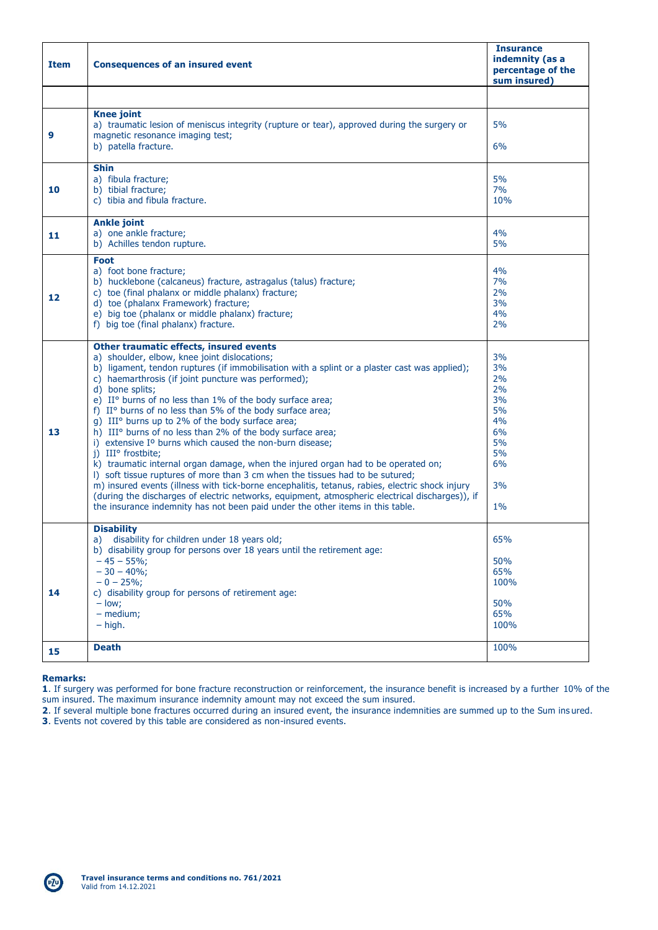| <b>Item</b> | <b>Consequences of an insured event</b>                                                                                                                                                                                                                                                                                                                                                                                                                                                                                                                                                                                                                                                                                                                                                                                                                                                                                                                                                                                                                                    | <b>Insurance</b><br>indemnity (as a<br>percentage of the<br>sum insured)      |
|-------------|----------------------------------------------------------------------------------------------------------------------------------------------------------------------------------------------------------------------------------------------------------------------------------------------------------------------------------------------------------------------------------------------------------------------------------------------------------------------------------------------------------------------------------------------------------------------------------------------------------------------------------------------------------------------------------------------------------------------------------------------------------------------------------------------------------------------------------------------------------------------------------------------------------------------------------------------------------------------------------------------------------------------------------------------------------------------------|-------------------------------------------------------------------------------|
|             |                                                                                                                                                                                                                                                                                                                                                                                                                                                                                                                                                                                                                                                                                                                                                                                                                                                                                                                                                                                                                                                                            |                                                                               |
| 9           | <b>Knee joint</b><br>a) traumatic lesion of meniscus integrity (rupture or tear), approved during the surgery or<br>magnetic resonance imaging test;<br>b) patella fracture.                                                                                                                                                                                                                                                                                                                                                                                                                                                                                                                                                                                                                                                                                                                                                                                                                                                                                               | 5%<br>6%                                                                      |
|             |                                                                                                                                                                                                                                                                                                                                                                                                                                                                                                                                                                                                                                                                                                                                                                                                                                                                                                                                                                                                                                                                            |                                                                               |
| 10          | <b>Shin</b><br>a) fibula fracture;<br>b) tibial fracture;<br>c) tibia and fibula fracture.                                                                                                                                                                                                                                                                                                                                                                                                                                                                                                                                                                                                                                                                                                                                                                                                                                                                                                                                                                                 | 5%<br>7%<br>10%                                                               |
| 11          | <b>Ankle joint</b><br>a) one ankle fracture;<br>b) Achilles tendon rupture.                                                                                                                                                                                                                                                                                                                                                                                                                                                                                                                                                                                                                                                                                                                                                                                                                                                                                                                                                                                                | 4%<br>5%                                                                      |
| 12          | Foot<br>a) foot bone fracture;<br>b) hucklebone (calcaneus) fracture, astragalus (talus) fracture;<br>c) toe (final phalanx or middle phalanx) fracture;<br>d) toe (phalanx Framework) fracture;<br>e) big toe (phalanx or middle phalanx) fracture;<br>f) big toe (final phalanx) fracture.                                                                                                                                                                                                                                                                                                                                                                                                                                                                                                                                                                                                                                                                                                                                                                               | 4%<br>7%<br>2%<br>3%<br>4%<br>2%                                              |
| 13          | Other traumatic effects, insured events<br>a) shoulder, elbow, knee joint dislocations;<br>b) ligament, tendon ruptures (if immobilisation with a splint or a plaster cast was applied);<br>c) haemarthrosis (if joint puncture was performed);<br>d) bone splits;<br>e) II° burns of no less than 1% of the body surface area;<br>f) II° burns of no less than 5% of the body surface area;<br>g) III° burns up to 2% of the body surface area;<br>h) III° burns of no less than 2% of the body surface area;<br>i) extensive I <sup>o</sup> burns which caused the non-burn disease;<br>j) III° frostbite;<br>k) traumatic internal organ damage, when the injured organ had to be operated on;<br>I) soft tissue ruptures of more than 3 cm when the tissues had to be sutured;<br>m) insured events (illness with tick-borne encephalitis, tetanus, rabies, electric shock injury<br>(during the discharges of electric networks, equipment, atmospheric electrical discharges)), if<br>the insurance indemnity has not been paid under the other items in this table. | 3%<br>3%<br>2%<br>2%<br>3%<br>5%<br>4%<br>6%<br>5%<br>5%<br>6%<br>3%<br>$1\%$ |
| 14          | <b>Disability</b><br>disability for children under 18 years old;<br>b) disability group for persons over 18 years until the retirement age:<br>$-45 - 55\%$<br>$-30 - 40\%;$<br>$-0 - 25\%$<br>c) disability group for persons of retirement age:<br>$-$ low:<br>$-$ medium;<br>$-$ high.                                                                                                                                                                                                                                                                                                                                                                                                                                                                                                                                                                                                                                                                                                                                                                                  | 65%<br>50%<br>65%<br>100%<br>50%<br>65%<br>100%                               |
| 15          | <b>Death</b>                                                                                                                                                                                                                                                                                                                                                                                                                                                                                                                                                                                                                                                                                                                                                                                                                                                                                                                                                                                                                                                               | 100%                                                                          |

## **Remarks:**

**1**. If surgery was performed for bone fracture reconstruction or reinforcement, the insurance benefit is increased by a further 10% of the sum insured. The maximum insurance indemnity amount may not exceed the sum insured.

**2**. If several multiple bone fractures occurred during an insured event, the insurance indemnities are summed up to the Sum ins ured.

**3**. Events not covered by this table are considered as non-insured events.

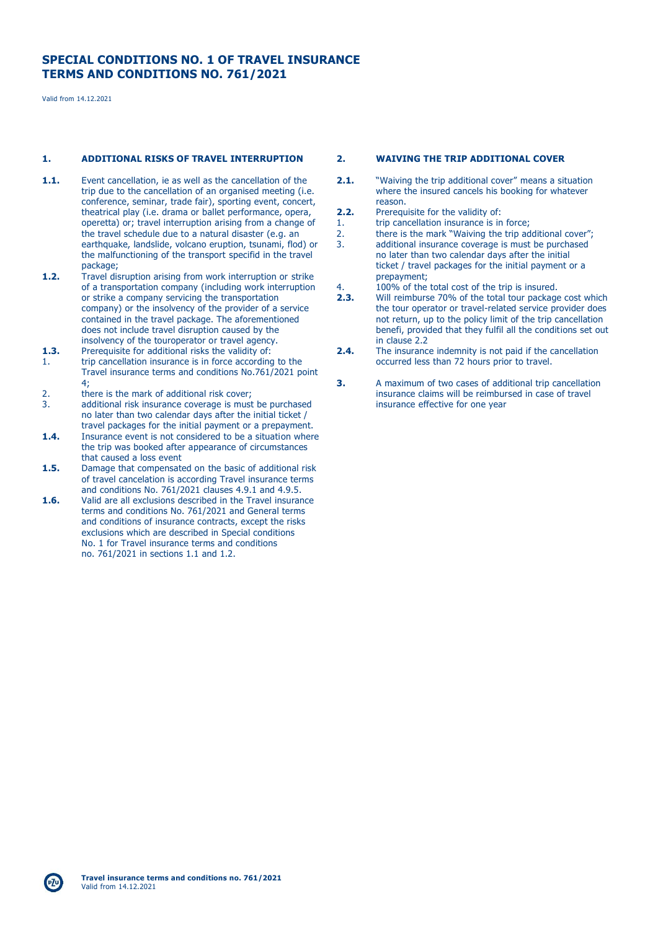## **SPECIAL CONDITIONS NO. 1 OF TRAVEL INSURANCE TERMS AND CONDITIONS NO. 761/2021**

Valid from 14.12.2021

### **1. ADDITIONAL RISKS OF TRAVEL INTERRUPTION**

- **1.1.** Event cancellation, ie as well as the cancellation of the trip due to the cancellation of an organised meeting (i.e. conference, seminar, trade fair), sporting event, concert, theatrical play (i.e. drama or ballet performance, opera, operetta) or; travel interruption arising from a change of the travel schedule due to a natural disaster (e.g. an earthquake, landslide, volcano eruption, tsunami, flod) or the malfunctioning of the transport specifid in the travel package;
- **1.2.** Travel disruption arising from work interruption or strike of a transportation company (including work interruption or strike a company servicing the transportation company) or the insolvency of the provider of a service contained in the travel package. The aforementioned does not include travel disruption caused by the insolvency of the touroperator or travel agency.
- **1.3.** Prerequisite for additional risks the validity of: 1. trip cancellation insurance is in force according to the Travel insurance terms and conditions No.761/2021 point 4;
- 2. there is the mark of additional risk cover;<br>3 additional risk insurance coverage is must
- additional risk insurance coverage is must be purchased no later than two calendar days after the initial ticket / travel packages for the initial payment or a prepayment.
- **1.4.** Insurance event is not considered to be a situation where the trip was booked after appearance of circumstances that caused a loss event
- **1.5.** Damage that compensated on the basic of additional risk of travel cancelation is according Travel insurance terms and conditions No. 761/2021 clauses 4.9.1 and 4.9.5.
- **1.6.** Valid are all exclusions described in the Travel insurance terms and conditions No. 761/2021 and General terms and conditions of insurance contracts, except the risks exclusions which are described in Special conditions No. 1 for Travel insurance terms and conditions no. 761/2021 in sections 1.1 and 1.2.

#### **2. WAIVING THE TRIP ADDITIONAL COVER**

- **2.1.** "Waiving the trip additional cover" means a situation where the insured cancels his booking for whatever reason.
- **2.2.** Prerequisite for the validity of:
- 1. trip cancellation insurance is in force;
- 2. there is the mark "Waiving the trip additional cover"; 3. additional insurance coverage is must be purchased no later than two calendar days after the initial ticket / travel packages for the initial payment or a prepayment;
- 
- 4. 100% of the total cost of the trip is insured.<br>**2.3.** Will reimburse 70% of the total tour package **2.3.** Will reimburse 70% of the total tour package cost which the tour operator or travel-related service provider does not return, up to the policy limit of the trip cancellation benefi, provided that they fulfil all the conditions set out in clause 2.2
- **2.4.** The insurance indemnity is not paid if the cancellation occurred less than 72 hours prior to travel.
- **3.** A maximum of two cases of additional trip cancellation insurance claims will be reimbursed in case of travel insurance effective for one year